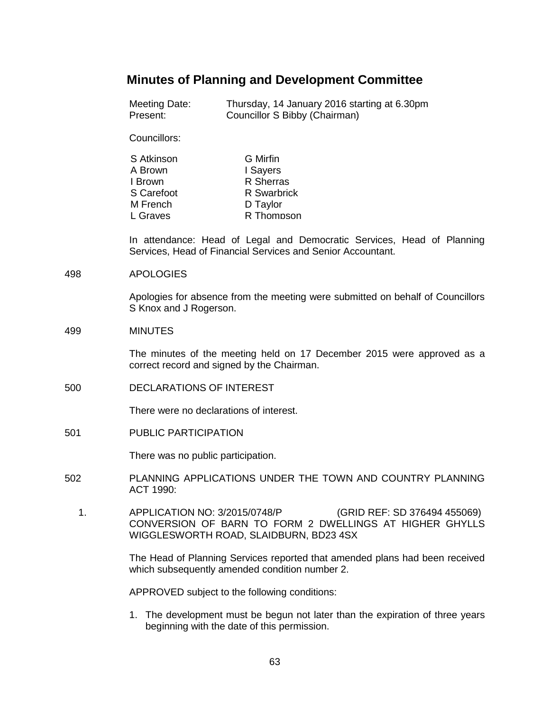# **Minutes of Planning and Development Committee**

| Meeting Date: | Thursday, 14 January 2016 starting at 6.30pm |
|---------------|----------------------------------------------|
| Present:      | Councillor S Bibby (Chairman)                |

Councillors:

| S Atkinson | G Mirfin           |
|------------|--------------------|
| A Brown    | I Sayers           |
| I Brown    | R Sherras          |
| S Carefoot | <b>R</b> Swarbrick |
| M French   | D Taylor           |
| L Graves   | R Thompson         |

In attendance: Head of Legal and Democratic Services, Head of Planning Services, Head of Financial Services and Senior Accountant.

## 498 APOLOGIES

Apologies for absence from the meeting were submitted on behalf of Councillors S Knox and J Rogerson.

## 499 MINUTES

The minutes of the meeting held on 17 December 2015 were approved as a correct record and signed by the Chairman.

500 DECLARATIONS OF INTEREST

There were no declarations of interest.

501 PUBLIC PARTICIPATION

There was no public participation.

- 502 PLANNING APPLICATIONS UNDER THE TOWN AND COUNTRY PLANNING ACT 1990:
	- 1. APPLICATION NO: 3/2015/0748/P (GRID REF: SD 376494 455069) CONVERSION OF BARN TO FORM 2 DWELLINGS AT HIGHER GHYLLS WIGGLESWORTH ROAD, SLAIDBURN, BD23 4SX

The Head of Planning Services reported that amended plans had been received which subsequently amended condition number 2.

APPROVED subject to the following conditions:

1. The development must be begun not later than the expiration of three years beginning with the date of this permission.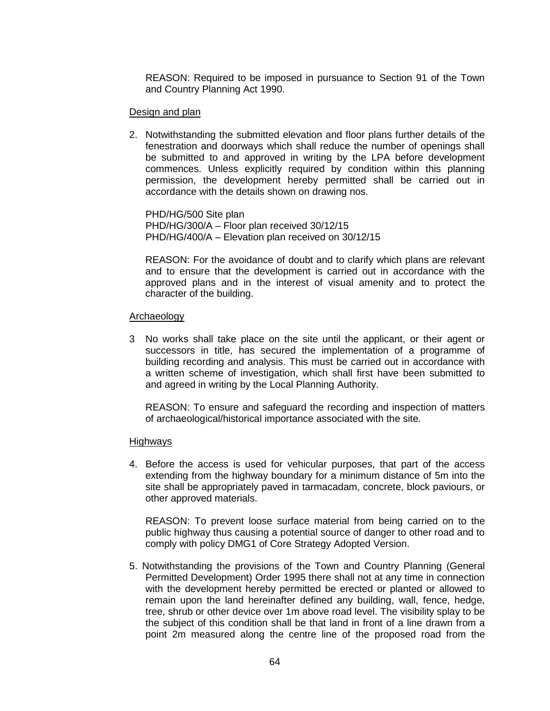REASON: Required to be imposed in pursuance to Section 91 of the Town and Country Planning Act 1990.

## Design and plan

2. Notwithstanding the submitted elevation and floor plans further details of the fenestration and doorways which shall reduce the number of openings shall be submitted to and approved in writing by the LPA before development commences. Unless explicitly required by condition within this planning permission, the development hereby permitted shall be carried out in accordance with the details shown on drawing nos.

PHD/HG/500 Site plan PHD/HG/300/A – Floor plan received 30/12/15 PHD/HG/400/A – Elevation plan received on 30/12/15

REASON: For the avoidance of doubt and to clarify which plans are relevant and to ensure that the development is carried out in accordance with the approved plans and in the interest of visual amenity and to protect the character of the building.

## Archaeology

3 No works shall take place on the site until the applicant, or their agent or successors in title, has secured the implementation of a programme of building recording and analysis. This must be carried out in accordance with a written scheme of investigation, which shall first have been submitted to and agreed in writing by the Local Planning Authority.

REASON: To ensure and safeguard the recording and inspection of matters of archaeological/historical importance associated with the site.

### Highways

4. Before the access is used for vehicular purposes, that part of the access extending from the highway boundary for a minimum distance of 5m into the site shall be appropriately paved in tarmacadam, concrete, block paviours, or other approved materials.

REASON: To prevent loose surface material from being carried on to the public highway thus causing a potential source of danger to other road and to comply with policy DMG1 of Core Strategy Adopted Version.

5. Notwithstanding the provisions of the Town and Country Planning (General Permitted Development) Order 1995 there shall not at any time in connection with the development hereby permitted be erected or planted or allowed to remain upon the land hereinafter defined any building, wall, fence, hedge, tree, shrub or other device over 1m above road level. The visibility splay to be the subject of this condition shall be that land in front of a line drawn from a point 2m measured along the centre line of the proposed road from the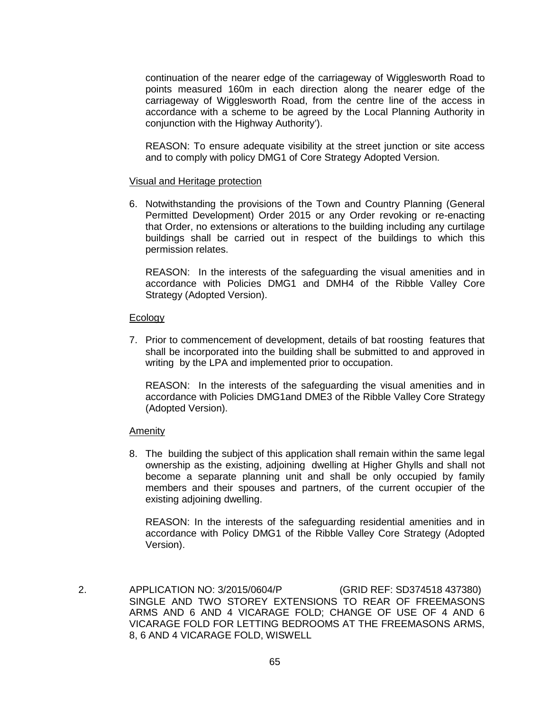continuation of the nearer edge of the carriageway of Wigglesworth Road to points measured 160m in each direction along the nearer edge of the carriageway of Wigglesworth Road, from the centre line of the access in accordance with a scheme to be agreed by the Local Planning Authority in conjunction with the Highway Authority').

REASON: To ensure adequate visibility at the street junction or site access and to comply with policy DMG1 of Core Strategy Adopted Version.

## Visual and Heritage protection

6. Notwithstanding the provisions of the Town and Country Planning (General Permitted Development) Order 2015 or any Order revoking or re-enacting that Order, no extensions or alterations to the building including any curtilage buildings shall be carried out in respect of the buildings to which this permission relates.

REASON: In the interests of the safeguarding the visual amenities and in accordance with Policies DMG1 and DMH4 of the Ribble Valley Core Strategy (Adopted Version).

## Ecology

7. Prior to commencement of development, details of bat roosting features that shall be incorporated into the building shall be submitted to and approved in writing by the LPA and implemented prior to occupation.

REASON: In the interests of the safeguarding the visual amenities and in accordance with Policies DMG1and DME3 of the Ribble Valley Core Strategy (Adopted Version).

## Amenity

8. The building the subject of this application shall remain within the same legal ownership as the existing, adjoining dwelling at Higher Ghylls and shall not become a separate planning unit and shall be only occupied by family members and their spouses and partners, of the current occupier of the existing adjoining dwelling.

REASON: In the interests of the safeguarding residential amenities and in accordance with Policy DMG1 of the Ribble Valley Core Strategy (Adopted Version).

 2. APPLICATION NO: 3/2015/0604/P (GRID REF: SD374518 437380) SINGLE AND TWO STOREY EXTENSIONS TO REAR OF FREEMASONS ARMS AND 6 AND 4 VICARAGE FOLD; CHANGE OF USE OF 4 AND 6 VICARAGE FOLD FOR LETTING BEDROOMS AT THE FREEMASONS ARMS, 8, 6 AND 4 VICARAGE FOLD, WISWELL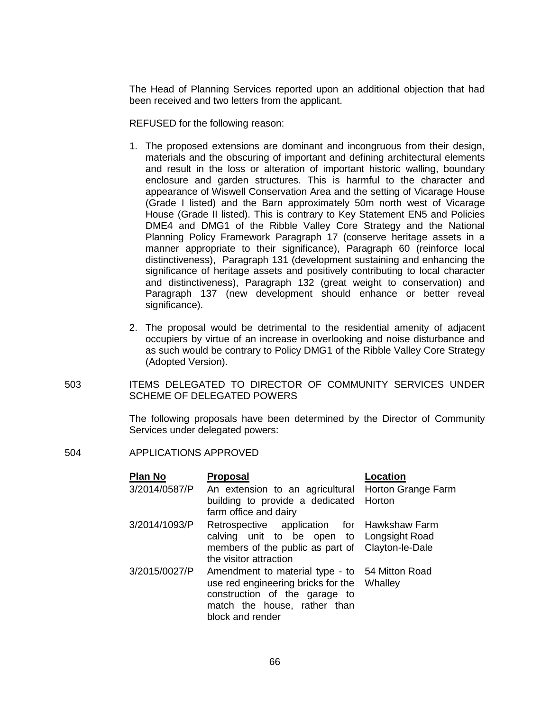The Head of Planning Services reported upon an additional objection that had been received and two letters from the applicant.

REFUSED for the following reason:

- 1. The proposed extensions are dominant and incongruous from their design, materials and the obscuring of important and defining architectural elements and result in the loss or alteration of important historic walling, boundary enclosure and garden structures. This is harmful to the character and appearance of Wiswell Conservation Area and the setting of Vicarage House (Grade I listed) and the Barn approximately 50m north west of Vicarage House (Grade II listed). This is contrary to Key Statement EN5 and Policies DME4 and DMG1 of the Ribble Valley Core Strategy and the National Planning Policy Framework Paragraph 17 (conserve heritage assets in a manner appropriate to their significance), Paragraph 60 (reinforce local distinctiveness), Paragraph 131 (development sustaining and enhancing the significance of heritage assets and positively contributing to local character and distinctiveness), Paragraph 132 (great weight to conservation) and Paragraph 137 (new development should enhance or better reveal significance).
- 2. The proposal would be detrimental to the residential amenity of adjacent occupiers by virtue of an increase in overlooking and noise disturbance and as such would be contrary to Policy DMG1 of the Ribble Valley Core Strategy (Adopted Version).
- 503 ITEMS DELEGATED TO DIRECTOR OF COMMUNITY SERVICES UNDER SCHEME OF DELEGATED POWERS

The following proposals have been determined by the Director of Community Services under delegated powers:

504 APPLICATIONS APPROVED

| <b>Plan No</b> | <b>Proposal</b>                                                                                                                                                           | Location           |
|----------------|---------------------------------------------------------------------------------------------------------------------------------------------------------------------------|--------------------|
| 3/2014/0587/P  | An extension to an agricultural                                                                                                                                           | Horton Grange Farm |
|                | building to provide a dedicated Horton<br>farm office and dairy                                                                                                           |                    |
| 3/2014/1093/P  | Retrospective application for Hawkshaw Farm                                                                                                                               |                    |
|                | calving unit to be open to Longsight Road                                                                                                                                 |                    |
|                | members of the public as part of Clayton-le-Dale                                                                                                                          |                    |
|                | the visitor attraction                                                                                                                                                    |                    |
| 3/2015/0027/P  | Amendment to material type - to 54 Mitton Road<br>use red engineering bricks for the<br>construction of the garage to<br>match the house, rather than<br>block and render | Whalley            |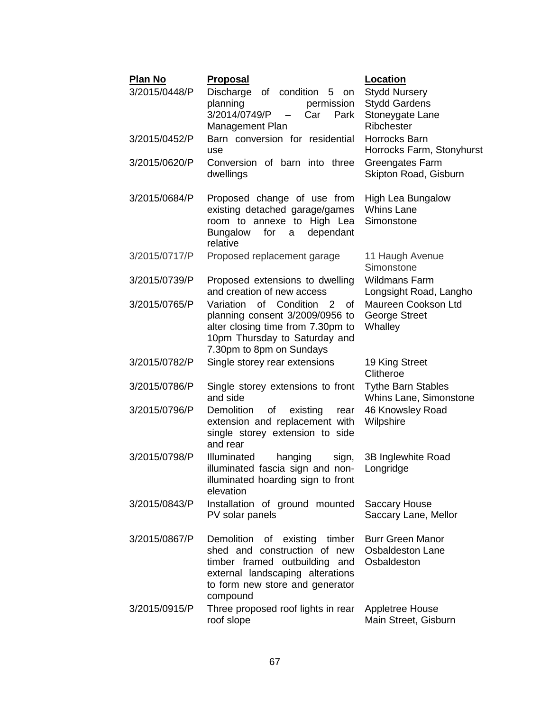| <b>Plan No</b> | <u>Proposal</u>                                                                                                                                                                   | <b>Location</b>                                                   |
|----------------|-----------------------------------------------------------------------------------------------------------------------------------------------------------------------------------|-------------------------------------------------------------------|
| 3/2015/0448/P  | Discharge<br>of condition 5 on                                                                                                                                                    | <b>Stydd Nursery</b>                                              |
|                | planning<br>permission<br>3/2014/0749/P<br>Park<br>Car                                                                                                                            | <b>Stydd Gardens</b><br>Stoneygate Lane                           |
|                | Management Plan                                                                                                                                                                   | Ribchester                                                        |
| 3/2015/0452/P  | Barn conversion for residential                                                                                                                                                   | Horrocks Barn                                                     |
|                | use                                                                                                                                                                               | Horrocks Farm, Stonyhurst                                         |
| 3/2015/0620/P  | Conversion of barn into three<br>dwellings                                                                                                                                        | Greengates Farm<br>Skipton Road, Gisburn                          |
| 3/2015/0684/P  | Proposed change of use from<br>existing detached garage/games<br>room to annexe to High Lea<br>dependant<br><b>Bungalow</b><br>for<br>a<br>relative                               | High Lea Bungalow<br><b>Whins Lane</b><br>Simonstone              |
| 3/2015/0717/P  | Proposed replacement garage                                                                                                                                                       | 11 Haugh Avenue<br>Simonstone                                     |
| 3/2015/0739/P  | Proposed extensions to dwelling<br>and creation of new access                                                                                                                     | <b>Wildmans Farm</b><br>Longsight Road, Langho                    |
| 3/2015/0765/P  | of Condition<br>Variation<br>2<br>οf<br>planning consent 3/2009/0956 to<br>alter closing time from 7.30pm to<br>10pm Thursday to Saturday and<br>7.30pm to 8pm on Sundays         | Maureen Cookson Ltd<br><b>George Street</b><br>Whalley            |
| 3/2015/0782/P  | Single storey rear extensions                                                                                                                                                     | 19 King Street<br>Clitheroe                                       |
| 3/2015/0786/P  | Single storey extensions to front<br>and side                                                                                                                                     | <b>Tythe Barn Stables</b><br>Whins Lane, Simonstone               |
| 3/2015/0796/P  | of<br><b>Demolition</b><br>existing<br>rear<br>extension and replacement with<br>single storey extension to side<br>and rear                                                      | 46 Knowsley Road<br>Wilpshire                                     |
| 3/2015/0798/P  | Illuminated<br>hanging<br>sign,<br>illuminated fascia sign and non-<br>illuminated hoarding sign to front<br>elevation                                                            | 3B Inglewhite Road<br>Longridge                                   |
| 3/2015/0843/P  | Installation of ground mounted<br>PV solar panels                                                                                                                                 | <b>Saccary House</b><br>Saccary Lane, Mellor                      |
| 3/2015/0867/P  | Demolition of existing timber<br>shed and construction of new<br>timber framed outbuilding and<br>external landscaping alterations<br>to form new store and generator<br>compound | <b>Burr Green Manor</b><br><b>Osbaldeston Lane</b><br>Osbaldeston |
| 3/2015/0915/P  | Three proposed roof lights in rear<br>roof slope                                                                                                                                  | <b>Appletree House</b><br>Main Street, Gisburn                    |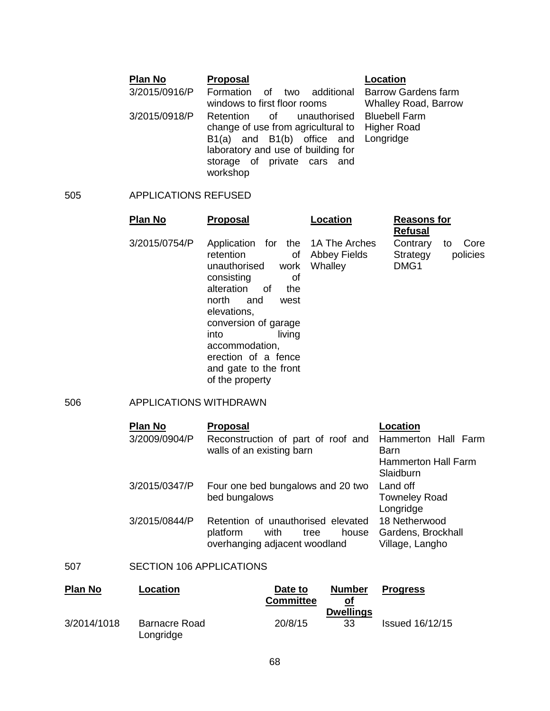#### **Plan No Proposal Location** 3/2015/0916/P Formation of two additional Barrow Gardens farm windows to first floor rooms Whalley Road, Barrow 3/2015/0918/P Retention of change of use from agricultural to Higher Road B1(a) and B1(b) office and Longridge laboratory and use of building for storage of private cars and workshop unauthorised Bluebell Farm

## 505 APPLICATIONS REFUSED

| <b>Plan No</b> | <b>Proposal</b>                                                                                                                                                                                                                                                                                   | Location                | <b>Reasons for</b><br><b>Refusal</b>                   |
|----------------|---------------------------------------------------------------------------------------------------------------------------------------------------------------------------------------------------------------------------------------------------------------------------------------------------|-------------------------|--------------------------------------------------------|
| 3/2015/0754/P  | Application for the 1A The Arches<br>retention<br>0f<br>work<br>unauthorised<br>consisting<br>οf<br>alteration<br>0f<br>the<br>north<br>and<br>west<br>elevations,<br>conversion of garage<br>into<br>living<br>accommodation,<br>erection of a fence<br>and gate to the front<br>of the property | Abbey Fields<br>Whalley | Contrary<br>Core<br>to<br>policies<br>Strategy<br>DMG1 |

## 506 APPLICATIONS WITHDRAWN

| <b>Plan No</b> | <b>Proposal</b>                                                                                          | Location                                               |
|----------------|----------------------------------------------------------------------------------------------------------|--------------------------------------------------------|
| 3/2009/0904/P  | Reconstruction of part of roof and<br>walls of an existing barn                                          | Hammerton Hall Farm<br>Barn                            |
|                |                                                                                                          | <b>Hammerton Hall Farm</b><br>Slaidburn                |
| 3/2015/0347/P  | Four one bed bungalows and 20 two<br>bed bungalows                                                       | Land off<br><b>Towneley Road</b>                       |
|                |                                                                                                          | Longridge                                              |
| 3/2015/0844/P  | Retention of unauthorised elevated<br>platform<br>with<br>house<br>tree<br>overhanging adjacent woodland | 18 Netherwood<br>Gardens, Brockhall<br>Village, Langho |
|                |                                                                                                          |                                                        |

## 507 SECTION 106 APPLICATIONS

| <b>Plan No</b> | Location                          | Date to<br><b>Committee</b> | <b>Number</b><br>οſ    | Progress               |
|----------------|-----------------------------------|-----------------------------|------------------------|------------------------|
| 3/2014/1018    | <b>Barnacre Road</b><br>Longridge | 20/8/15                     | <b>Dwellings</b><br>33 | <b>Issued 16/12/15</b> |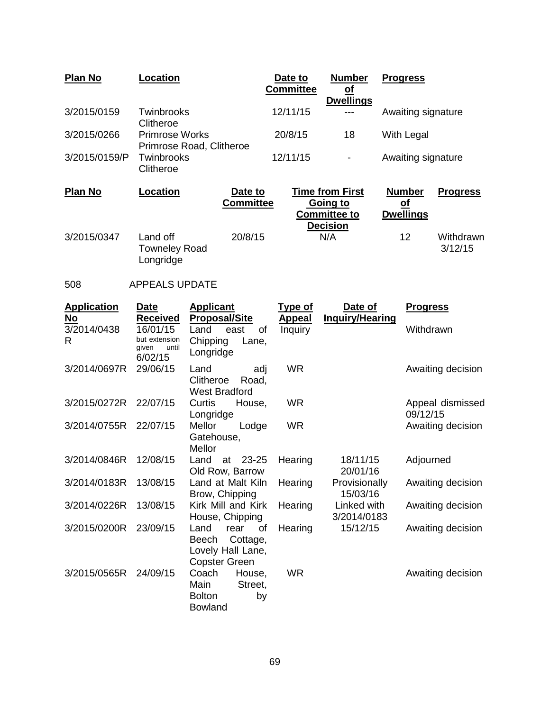| <b>Plan No</b> | Location                                          |                             | Date to<br><b>Committee</b> | <b>Number</b><br><u>of</u><br><b>Dwellings</b>                               | <b>Progress</b>                                |                      |
|----------------|---------------------------------------------------|-----------------------------|-----------------------------|------------------------------------------------------------------------------|------------------------------------------------|----------------------|
| 3/2015/0159    | Twinbrooks<br>Clitheroe                           |                             | 12/11/15                    |                                                                              | Awaiting signature                             |                      |
| 3/2015/0266    | <b>Primrose Works</b><br>Primrose Road, Clitheroe |                             | 20/8/15                     | 18                                                                           | With Legal                                     |                      |
| 3/2015/0159/P  | Twinbrooks<br>Clitheroe                           |                             | 12/11/15                    | $\blacksquare$                                                               | Awaiting signature                             |                      |
| <b>Plan No</b> | Location                                          | Date to<br><b>Committee</b> |                             | <b>Time from First</b><br>Going to<br><b>Committee to</b><br><b>Decision</b> | <b>Number</b><br><u>of</u><br><b>Dwellings</b> | <b>Progress</b>      |
| 3/2015/0347    | Land off<br><b>Towneley Road</b><br>Longridge     | 20/8/15                     |                             | N/A                                                                          | 12                                             | Withdrawn<br>3/12/15 |

# 508 APPEALS UPDATE

| <b>Application</b><br><u>No</u> | Date<br><u>Received</u>                                | <b>Applicant</b><br><b>Proposal/Site</b>                                             | <b>Type of</b><br><b>Appeal</b> | Date of<br><b>Inquiry/Hearing</b> | <b>Progress</b>              |
|---------------------------------|--------------------------------------------------------|--------------------------------------------------------------------------------------|---------------------------------|-----------------------------------|------------------------------|
| 3/2014/0438<br>R                | 16/01/15<br>but extension<br>until<br>qiven<br>6/02/15 | Land<br>east<br>0f<br>Chipping<br>Lane,<br>Longridge                                 | <b>Inquiry</b>                  |                                   | Withdrawn                    |
| 3/2014/0697R                    | 29/06/15                                               | Land<br>adj<br>Clitheroe<br>Road,<br><b>West Bradford</b>                            | <b>WR</b>                       |                                   | Awaiting decision            |
| 3/2015/0272R                    | 22/07/15                                               | Curtis<br>House,<br>Longridge                                                        | <b>WR</b>                       |                                   | Appeal dismissed<br>09/12/15 |
| 3/2014/0755R                    | 22/07/15                                               | Mellor<br>Lodge<br>Gatehouse,<br>Mellor                                              | <b>WR</b>                       |                                   | Awaiting decision            |
| 3/2014/0846R                    | 12/08/15                                               | 23-25<br>Land<br>at<br>Old Row, Barrow                                               | Hearing                         | 18/11/15<br>20/01/16              | Adjourned                    |
| 3/2014/0183R                    | 13/08/15                                               | Land at Malt Kiln<br>Brow, Chipping                                                  | Hearing                         | Provisionally<br>15/03/16         | Awaiting decision            |
| 3/2014/0226R                    | 13/08/15                                               | Kirk Mill and Kirk<br>House, Chipping                                                | Hearing                         | Linked with<br>3/2014/0183        | Awaiting decision            |
| 3/2015/0200R                    | 23/09/15                                               | Land<br>rear<br>οf<br>Cottage,<br>Beech<br>Lovely Hall Lane,<br><b>Copster Green</b> | Hearing                         | 15/12/15                          | Awaiting decision            |
| 3/2015/0565R                    | 24/09/15                                               | Coach<br>House,<br>Main<br>Street,<br><b>Bolton</b><br>by<br><b>Bowland</b>          | <b>WR</b>                       |                                   | Awaiting decision            |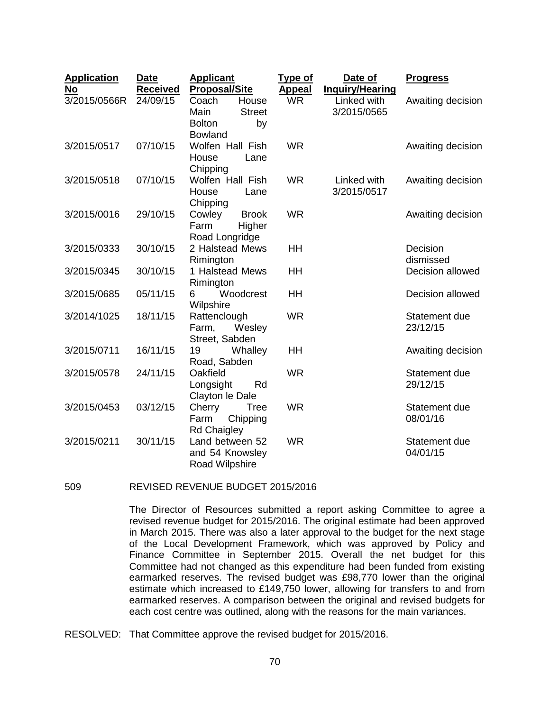| <b>Application</b><br>No | <b>Date</b><br><b>Received</b> | <b>Applicant</b><br><b>Proposal/Site</b>                                         | <b>Type of</b><br><b>Appeal</b> | Date of<br><b>Inquiry/Hearing</b> | <b>Progress</b>           |
|--------------------------|--------------------------------|----------------------------------------------------------------------------------|---------------------------------|-----------------------------------|---------------------------|
| 3/2015/0566R             | 24/09/15                       | House<br>Coach<br>Main<br><b>Street</b><br><b>Bolton</b><br>by<br><b>Bowland</b> | <b>WR</b>                       | Linked with<br>3/2015/0565        | Awaiting decision         |
| 3/2015/0517              | 07/10/15                       | Wolfen Hall Fish<br>House<br>Lane<br>Chipping                                    | <b>WR</b>                       |                                   | Awaiting decision         |
| 3/2015/0518              | 07/10/15                       | Wolfen Hall Fish<br>House<br>Lane<br>Chipping                                    | <b>WR</b>                       | Linked with<br>3/2015/0517        | Awaiting decision         |
| 3/2015/0016              | 29/10/15                       | Cowley<br><b>Brook</b><br>Farm<br>Higher<br>Road Longridge                       | <b>WR</b>                       |                                   | Awaiting decision         |
| 3/2015/0333              | 30/10/15                       | 2 Halstead Mews<br>Rimington                                                     | HH                              |                                   | Decision<br>dismissed     |
| 3/2015/0345              | 30/10/15                       | 1 Halstead Mews<br>Rimington                                                     | HH                              |                                   | Decision allowed          |
| 3/2015/0685              | 05/11/15                       | Woodcrest<br>6<br>Wilpshire                                                      | HH                              |                                   | Decision allowed          |
| 3/2014/1025              | 18/11/15                       | Rattenclough<br>Farm,<br>Wesley<br>Street, Sabden                                | <b>WR</b>                       |                                   | Statement due<br>23/12/15 |
| 3/2015/0711              | 16/11/15                       | Whalley<br>19<br>Road, Sabden                                                    | HH                              |                                   | Awaiting decision         |
| 3/2015/0578              | 24/11/15                       | Oakfield<br>Longsight<br>Rd<br>Clayton le Dale                                   | <b>WR</b>                       |                                   | Statement due<br>29/12/15 |
| 3/2015/0453              | 03/12/15                       | Cherry<br>Tree<br>Farm<br>Chipping<br><b>Rd Chaigley</b>                         | <b>WR</b>                       |                                   | Statement due<br>08/01/16 |
| 3/2015/0211              | 30/11/15                       | Land between 52<br>and 54 Knowsley<br>Road Wilpshire                             | <b>WR</b>                       |                                   | Statement due<br>04/01/15 |

509 REVISED REVENUE BUDGET 2015/2016

The Director of Resources submitted a report asking Committee to agree a revised revenue budget for 2015/2016. The original estimate had been approved in March 2015. There was also a later approval to the budget for the next stage of the Local Development Framework, which was approved by Policy and Finance Committee in September 2015. Overall the net budget for this Committee had not changed as this expenditure had been funded from existing earmarked reserves. The revised budget was £98,770 lower than the original estimate which increased to £149,750 lower, allowing for transfers to and from earmarked reserves. A comparison between the original and revised budgets for each cost centre was outlined, along with the reasons for the main variances.

RESOLVED: That Committee approve the revised budget for 2015/2016.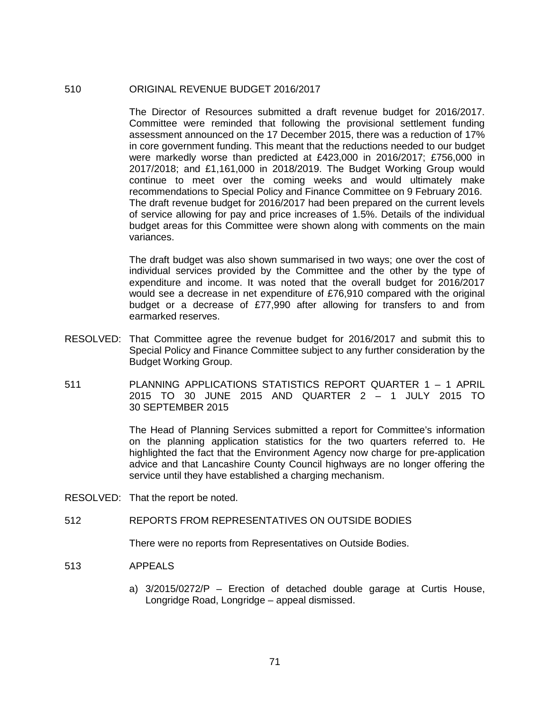## 510 ORIGINAL REVENUE BUDGET 2016/2017

The Director of Resources submitted a draft revenue budget for 2016/2017. Committee were reminded that following the provisional settlement funding assessment announced on the 17 December 2015, there was a reduction of 17% in core government funding. This meant that the reductions needed to our budget were markedly worse than predicted at £423,000 in 2016/2017; £756,000 in 2017/2018; and £1,161,000 in 2018/2019. The Budget Working Group would continue to meet over the coming weeks and would ultimately make recommendations to Special Policy and Finance Committee on 9 February 2016. The draft revenue budget for 2016/2017 had been prepared on the current levels of service allowing for pay and price increases of 1.5%. Details of the individual budget areas for this Committee were shown along with comments on the main variances.

The draft budget was also shown summarised in two ways; one over the cost of individual services provided by the Committee and the other by the type of expenditure and income. It was noted that the overall budget for 2016/2017 would see a decrease in net expenditure of £76,910 compared with the original budget or a decrease of £77,990 after allowing for transfers to and from earmarked reserves.

- RESOLVED: That Committee agree the revenue budget for 2016/2017 and submit this to Special Policy and Finance Committee subject to any further consideration by the Budget Working Group.
- 511 PLANNING APPLICATIONS STATISTICS REPORT QUARTER 1 1 APRIL 2015 TO 30 JUNE 2015 AND QUARTER 2 – 1 JULY 2015 TO 30 SEPTEMBER 2015

The Head of Planning Services submitted a report for Committee's information on the planning application statistics for the two quarters referred to. He highlighted the fact that the Environment Agency now charge for pre-application advice and that Lancashire County Council highways are no longer offering the service until they have established a charging mechanism.

RESOLVED: That the report be noted.

## 512 REPORTS FROM REPRESENTATIVES ON OUTSIDE BODIES

There were no reports from Representatives on Outside Bodies.

### 513 APPEALS

a) 3/2015/0272/P – Erection of detached double garage at Curtis House, Longridge Road, Longridge – appeal dismissed.